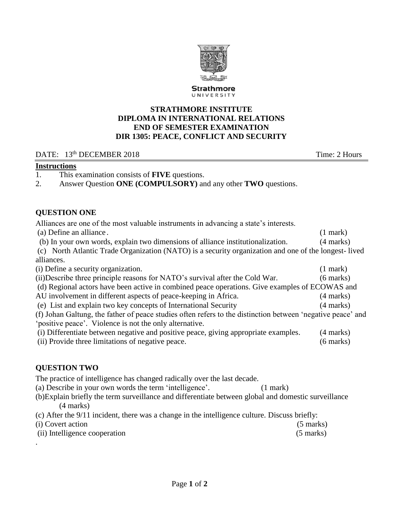

### **STRATHMORE INSTITUTE DIPLOMA IN INTERNATIONAL RELATIONS END OF SEMESTER EXAMINATION DIR 1305: PEACE, CONFLICT AND SECURITY**

### DATE: 13<sup>th</sup> DECEMBER 2018 Time: 2 Hours

#### **Instructions**

- 1. This examination consists of **FIVE** questions.
- 2. Answer Question **ONE (COMPULSORY)** and any other **TWO** questions.

#### **QUESTION ONE**

Alliances are one of the most valuable instruments in advancing a state's interests.

(a) Define an alliance . (1 mark)

(b) In your own words, explain two dimensions of alliance institutionalization. (4 marks)

(c) North Atlantic Trade Organization (NATO) is a security organization and one of the longest- lived alliances.

(i) Define a security organization. (1 mark) (ii)Describe three principle reasons for NATO's survival after the Cold War. (6 marks) (d) Regional actors have been active in combined peace operations. Give examples of ECOWAS and AU involvement in different aspects of peace-keeping in Africa. (4 marks) (e) List and explain two key concepts of International Security (4 marks) (f) Johan Galtung, the father of peace studies often refers to the distinction between 'negative peace' and 'positive peace'. Violence is not the only alternative. (i) Differentiate between negative and positive peace, giving appropriate examples. (4 marks) (ii) Provide three limitations of negative peace. (6 marks)

### **QUESTION TWO**

The practice of intelligence has changed radically over the last decade.

(a) Describe in your own words the term 'intelligence'. (1 mark)

- (b)Explain briefly the term surveillance and differentiate between global and domestic surveillance (4 marks)
- (c) After the 9/11 incident, there was a change in the intelligence culture. Discuss briefly:
- (i) Covert action (5 marks)
- (ii) Intelligence cooperation (5 marks) .